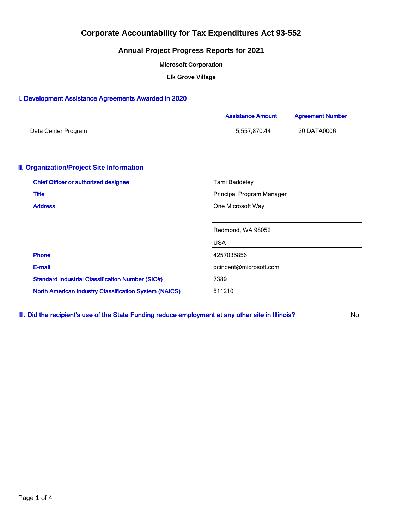## **Annual Project Progress Reports for 2021**

**Microsoft Corporation**

**Elk Grove Village**

## I. Development Assistance Agreements Awarded in 2020

|                                                              | <b>Assistance Amount</b>  | <b>Agreement Number</b> |  |  |  |
|--------------------------------------------------------------|---------------------------|-------------------------|--|--|--|
| Data Center Program                                          | 5,557,870.44              | 20 DATA0006             |  |  |  |
| <b>II. Organization/Project Site Information</b>             |                           |                         |  |  |  |
| <b>Chief Officer or authorized designee</b>                  | Tami Baddeley             |                         |  |  |  |
| <b>Title</b>                                                 | Principal Program Manager |                         |  |  |  |
| <b>Address</b>                                               | One Microsoft Way         |                         |  |  |  |
|                                                              | Redmond, WA 98052         |                         |  |  |  |
|                                                              | <b>USA</b>                |                         |  |  |  |
| <b>Phone</b>                                                 | 4257035856                |                         |  |  |  |
| E-mail                                                       | dcincent@microsoft.com    |                         |  |  |  |
| <b>Standard Industrial Classification Number (SIC#)</b>      | 7389                      |                         |  |  |  |
| <b>North American Industry Classification System (NAICS)</b> | 511210                    |                         |  |  |  |

III. Did the recipient's use of the State Funding reduce employment at any other site in Illinois? No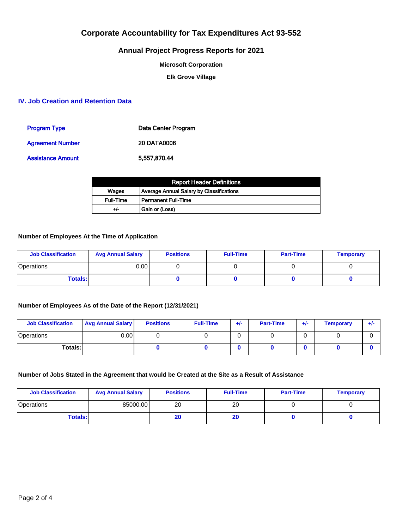## **Annual Project Progress Reports for 2021**

**Microsoft Corporation**

**Elk Grove Village**

### **IV. Job Creation and Retention Data**

| <b>Program Type</b>     | Data Center Program |
|-------------------------|---------------------|
| <b>Agreement Number</b> | <b>20 DATA0006</b>  |
| Assistance Amount       | 5.557.870.44        |

| <b>Report Header Definitions</b> |                                                 |  |  |  |
|----------------------------------|-------------------------------------------------|--|--|--|
| Wages                            | <b>Average Annual Salary by Classifications</b> |  |  |  |
| <b>Full-Time</b>                 | l Permanent Full-Time                           |  |  |  |
| +/-                              | Gain or (Loss)                                  |  |  |  |

### **Number of Employees At the Time of Application**

| <b>Job Classification</b> | <b>Avg Annual Salary</b> | <b>Positions</b> | <b>Full-Time</b> | <b>Part-Time</b> | <b>Temporary</b> |
|---------------------------|--------------------------|------------------|------------------|------------------|------------------|
| Operations                | 0.00 l                   |                  |                  |                  |                  |
| <b>Totals:</b>            |                          |                  |                  |                  |                  |

### **Number of Employees As of the Date of the Report (12/31/2021)**

| <b>Job Classification</b> | <b>Avg Annual Salary</b> | <b>Positions</b> | <b>Full-Time</b> | $+/-$ | <b>Part-Time</b> | $+/-$ | <b>Temporary</b> | ÷ŀ |
|---------------------------|--------------------------|------------------|------------------|-------|------------------|-------|------------------|----|
| Operations                | 0.001                    |                  |                  |       |                  |       |                  |    |
| Totals: I                 |                          |                  |                  |       |                  |       |                  |    |

### **Number of Jobs Stated in the Agreement that would be Created at the Site as a Result of Assistance**

| <b>Job Classification</b> | <b>Avg Annual Salary</b> | <b>Positions</b> | <b>Full-Time</b> | <b>Part-Time</b> | <b>Temporary</b> |
|---------------------------|--------------------------|------------------|------------------|------------------|------------------|
| <b>Operations</b>         | 85000.00                 | 20               | 20               |                  |                  |
| <b>Totals:</b>            |                          | 20               | zu               |                  |                  |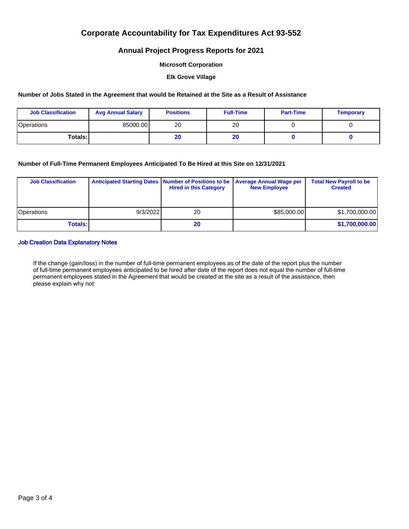## **Annual Project Progress Reports for 2021**

#### **Microsoft Corporation**

#### **Elk Grove Village**

#### **Number of Jobs Stated in the Agreement that would be Retained at the Site as a Result of Assistance**

| <b>Job Classification</b> | <b>Avg Annual Salary</b> | <b>Positions</b> | <b>Full-Time</b> | <b>Part-Time</b> | <b>Temporary</b> |
|---------------------------|--------------------------|------------------|------------------|------------------|------------------|
| Operations                | 85000.00                 | 20               | 20               |                  |                  |
| Totals: I                 |                          | 20               | zu               |                  |                  |

### **Number of Full-Time Permanent Employees Anticipated To Be Hired at this Site on 12/31/2021**

| <b>Job Classification</b> | Anticipated Starting Dates   Number of Positions to be | <b>Hired in this Category</b> | <b>Average Annual Wage per</b><br><b>New Employee</b> | <b>Total New Payroll to be</b><br><b>Created</b> |
|---------------------------|--------------------------------------------------------|-------------------------------|-------------------------------------------------------|--------------------------------------------------|
| <b>Operations</b>         | 9/3/2022                                               | 20                            | \$85,000.00                                           | \$1,700,000.00                                   |
| <b>Totals:</b>            |                                                        | 20                            |                                                       | \$1,700,000.00                                   |

### Job Creation Data Explanatory Notes

If the change (gain/loss) in the number of full-time permanent employees as of the date of the report plus the number of full-time permanent employees anticipated to be hired after date of the report does not equal the number of full-time permanent employees stated in the Agreement that would be created at the site as a result of the assistance, then please explain why not: